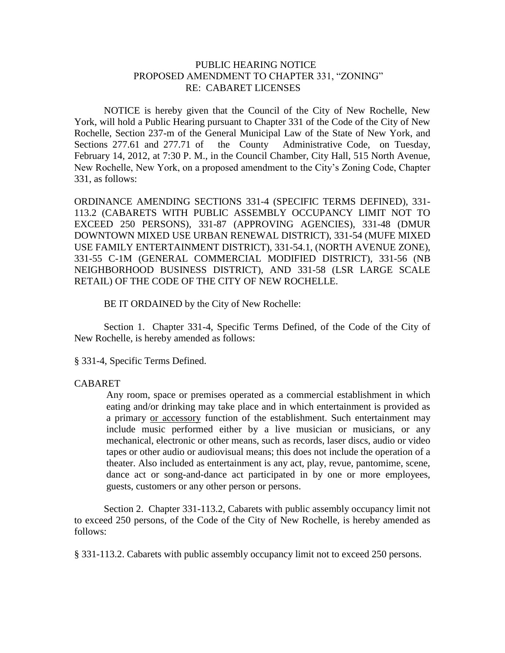## PUBLIC HEARING NOTICE PROPOSED AMENDMENT TO CHAPTER 331, "ZONING" RE: CABARET LICENSES

NOTICE is hereby given that the Council of the City of New Rochelle, New York, will hold a Public Hearing pursuant to Chapter 331 of the Code of the City of New Rochelle, Section 237-m of the General Municipal Law of the State of New York, and Sections 277.61 and 277.71 of the County Administrative Code, on Tuesday, February 14, 2012, at 7:30 P. M., in the Council Chamber, City Hall, 515 North Avenue, New Rochelle, New York, on a proposed amendment to the City's Zoning Code, Chapter 331, as follows:

ORDINANCE AMENDING SECTIONS 331-4 (SPECIFIC TERMS DEFINED), 331- 113.2 (CABARETS WITH PUBLIC ASSEMBLY OCCUPANCY LIMIT NOT TO EXCEED 250 PERSONS), 331-87 (APPROVING AGENCIES), 331-48 (DMUR DOWNTOWN MIXED USE URBAN RENEWAL DISTRICT), 331-54 (MUFE MIXED USE FAMILY ENTERTAINMENT DISTRICT), 331-54.1, (NORTH AVENUE ZONE), 331-55 C-1M (GENERAL COMMERCIAL MODIFIED DISTRICT), 331-56 (NB NEIGHBORHOOD BUSINESS DISTRICT), AND 331-58 (LSR LARGE SCALE RETAIL) OF THE CODE OF THE CITY OF NEW ROCHELLE.

BE IT ORDAINED by the City of New Rochelle:

Section 1. Chapter 331-4, Specific Terms Defined, of the Code of the City of New Rochelle, is hereby amended as follows:

§ 331-4, Specific Terms Defined.

## CABARET

Any room, space or premises operated as a commercial establishment in which eating and/or drinking may take place and in which entertainment is provided as a primary or accessory function of the establishment. Such entertainment may include music performed either by a live musician or musicians, or any mechanical, electronic or other means, such as records, laser discs, audio or video tapes or other audio or audiovisual means; this does not include the operation of a theater. Also included as entertainment is any act, play, revue, pantomime, scene, dance act or song-and-dance act participated in by one or more employees, guests, customers or any other person or persons.

Section 2. Chapter 331-113.2, Cabarets with public assembly occupancy limit not to exceed 250 persons, of the Code of the City of New Rochelle, is hereby amended as follows:

§ [331-113.2. Cabarets with public assembly occupancy limit not to exceed 250 persons.](http://www.ecode360.com/6731644#6732194)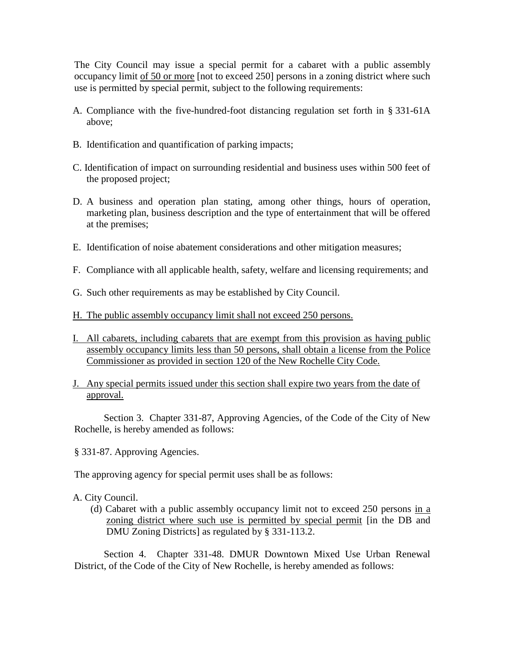The City Council may issue a special permit for a cabaret with a public assembly occupancy limit of 50 or more [not to exceed 250] persons in a zoning district where such use is permitted by special permit, subject to the following requirements:

- A. Compliance with the five-hundred-foot distancing regulation set forth in § [331-61A](http://www.ecode360.com/6731032#6731032) above;
- [B.](http://www.ecode360.com/6731644#6732196) Identification and quantification of parking impacts;
- [C.](http://www.ecode360.com/6731644#6732197) Identification of impact on surrounding residential and business uses within 500 feet of the proposed project;
- [D.](http://www.ecode360.com/6731644#6732198) A business and operation plan stating, among other things, hours of operation, marketing plan, business description and the type of entertainment that will be offered at the premises;
- [E.](http://www.ecode360.com/6731644#6732199) Identification of noise abatement considerations and other mitigation measures;
- [F.](http://www.ecode360.com/6731644#6732200) Compliance with all applicable health, safety, welfare and licensing requirements; and
- [G.](http://www.ecode360.com/6731644#6732201) Such other requirements as may be established by City Council.
- H. The public assembly occupancy limit shall not exceed 250 persons.
- I. All cabarets, including cabarets that are exempt from this provision as having public assembly occupancy limits less than 50 persons, shall obtain a license from the Police Commissioner as provided in section 120 of the New Rochelle City Code.
- J. Any special permits issued under this section shall expire two years from the date of approval.

Section 3. Chapter 331-87, Approving Agencies, of the Code of the City of New Rochelle, is hereby amended as follows:

§ 331-87. Approving Agencies.

The approving agency for special permit uses shall be as follows:

- [A.](http://www.ecode360.com/6731644#6731647) City Council.
	- [\(d\)](http://www.ecode360.com/6731644#6731655) Cabaret with a public assembly occupancy limit not to exceed 250 persons in a zoning district where such use is permitted by special permit [in the DB and DMU Zoning Districts] as regulated by § [331-113.2.](http://www.ecode360.com/6731644#6732194)

Section 4. Chapter 331-48. DMUR Downtown Mixed Use Urban Renewal District, of the Code of the City of New Rochelle, is hereby amended as follows: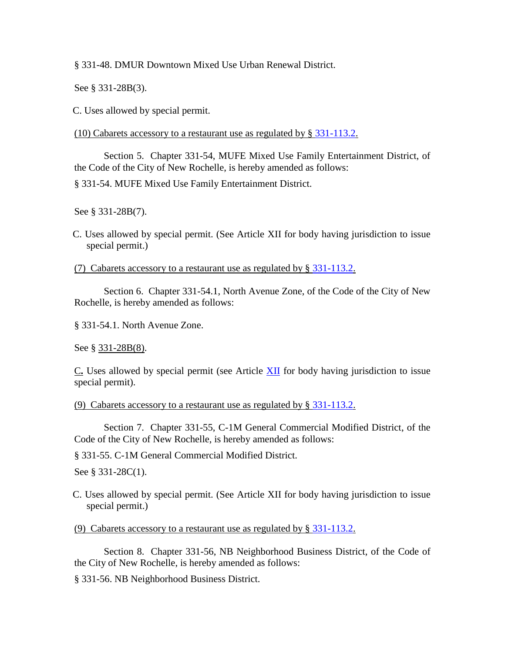§ 331-48. DMUR Downtown Mixed Use Urban Renewal District.

See § [331-28B\(3\).](http://www.ecode360.com/6729950#6729950)

[C.](http://www.ecode360.com/6730506#6730594) Uses allowed by special permit.

(10) Cabarets accessory to a restaurant use as regulated by § [331-113.2.](http://www.ecode360.com/6732194#6732194)

Section 5. Chapter 331-54, MUFE Mixed Use Family Entertainment District, of the Code of the City of New Rochelle, is hereby amended as follows:

§ 331-54. MUFE Mixed Use Family Entertainment District.

See § [331-28B\(7\).](http://www.ecode360.com/6729954#6729954)

[C.](http://www.ecode360.com/6730506#6730806) Uses allowed by special permit. (See Article [XII](http://www.ecode360.com/6731644#6731644) for body having jurisdiction to issue special permit.)

(7) Cabarets accessory to a restaurant use as regulated by § [331-113.2.](http://www.ecode360.com/6732194#6732194)

Section 6. Chapter 331-54.1, North Avenue Zone, of the Code of the City of New Rochelle, is hereby amended as follows:

§ [331-54.1. North Avenue Zone.](http://www.ecode360.com/15058068#15058068#15058068) 

See § [331-28B\(8\).](http://www.ecode360.com/15058065#15058065)

[C](http://www.ecode360.com/15058068#15058086#15058086)**.** Uses allowed by special permit (see Article [XII](http://www.ecode360.com/6731644#6731644) for body having jurisdiction to issue special permit).

(9) Cabarets accessory to a restaurant use as regulated by § [331-113.2.](http://www.ecode360.com/6732194#6732194)

Section 7. Chapter 331-55, C-1M General Commercial Modified District, of the Code of the City of New Rochelle, is hereby amended as follows:

§ 331-55. C-1M General Commercial Modified District.

See § [331-28C\(1\).](http://www.ecode360.com/6729954#6729954)

[C.](http://www.ecode360.com/6730506#6730806) Uses allowed by special permit. (See Article [XII](http://www.ecode360.com/6731644#6731644) for body having jurisdiction to issue special permit.)

(9) Cabarets accessory to a restaurant use as regulated by § [331-113.2.](http://www.ecode360.com/6732194#6732194)

Section 8. Chapter 331-56, NB Neighborhood Business District, of the Code of the City of New Rochelle, is hereby amended as follows:

§ 331-56. NB Neighborhood Business District.